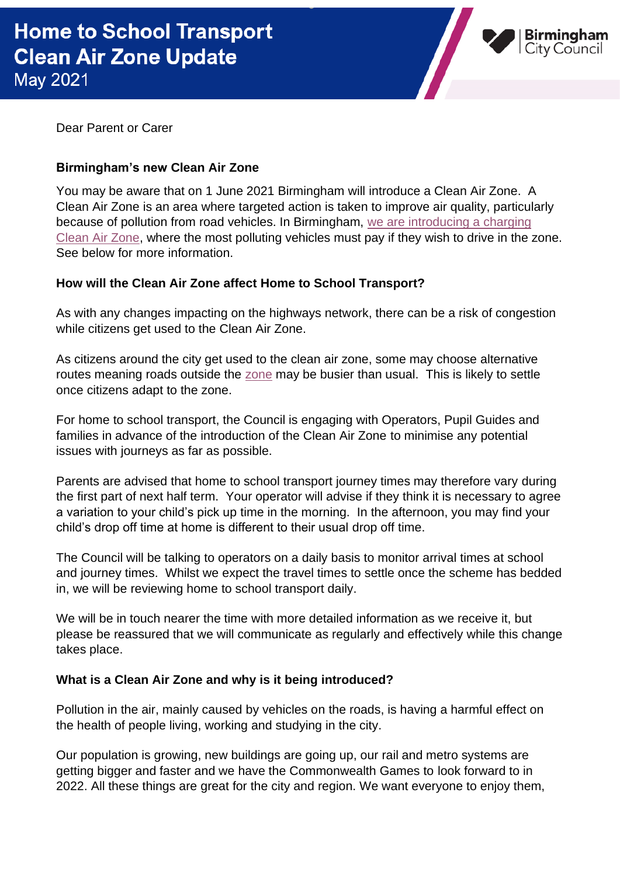

Dear Parent or Carer

## **Birmingham's new Clean Air Zone**

You may be aware that on 1 June 2021 Birmingham will introduce a Clean Air Zone. A Clean Air Zone is an area where targeted action is taken to improve air quality, particularly because of pollution from road vehicles. In Birmingham, [we are introducing a charging](https://www.brumbreathes.co.uk/welcome-to-brum-breathes)  [Clean Air Zone,](https://www.brumbreathes.co.uk/welcome-to-brum-breathes) where the most polluting vehicles must pay if they wish to drive in the zone. See below for more information.

## **How will the Clean Air Zone affect Home to School Transport?**

As with any changes impacting on the highways network, there can be a risk of congestion while citizens get used to the Clean Air Zone.

As citizens around the city get used to the clean air zone, some may choose alternative routes meaning roads outside the [zone](https://www.brumbreathes.co.uk/info/1/welcome/1/welcome-1/2) may be busier than usual. This is likely to settle once citizens adapt to the zone.

For home to school transport, the Council is engaging with Operators, Pupil Guides and families in advance of the introduction of the Clean Air Zone to minimise any potential issues with journeys as far as possible.

Parents are advised that home to school transport journey times may therefore vary during the first part of next half term. Your operator will advise if they think it is necessary to agree a variation to your child's pick up time in the morning. In the afternoon, you may find your child's drop off time at home is different to their usual drop off time.

The Council will be talking to operators on a daily basis to monitor arrival times at school and journey times. Whilst we expect the travel times to settle once the scheme has bedded in, we will be reviewing home to school transport daily.

We will be in touch nearer the time with more detailed information as we receive it, but please be reassured that we will communicate as regularly and effectively while this change takes place.

## **What is a Clean Air Zone and why is it being introduced?**

Pollution in the air, mainly caused by vehicles on the roads, is having a harmful effect on the health of people living, working and studying in the city.

Our population is growing, new buildings are going up, our rail and metro systems are getting bigger and faster and we have the Commonwealth Games to look forward to in 2022. All these things are great for the city and region. We want everyone to enjoy them,